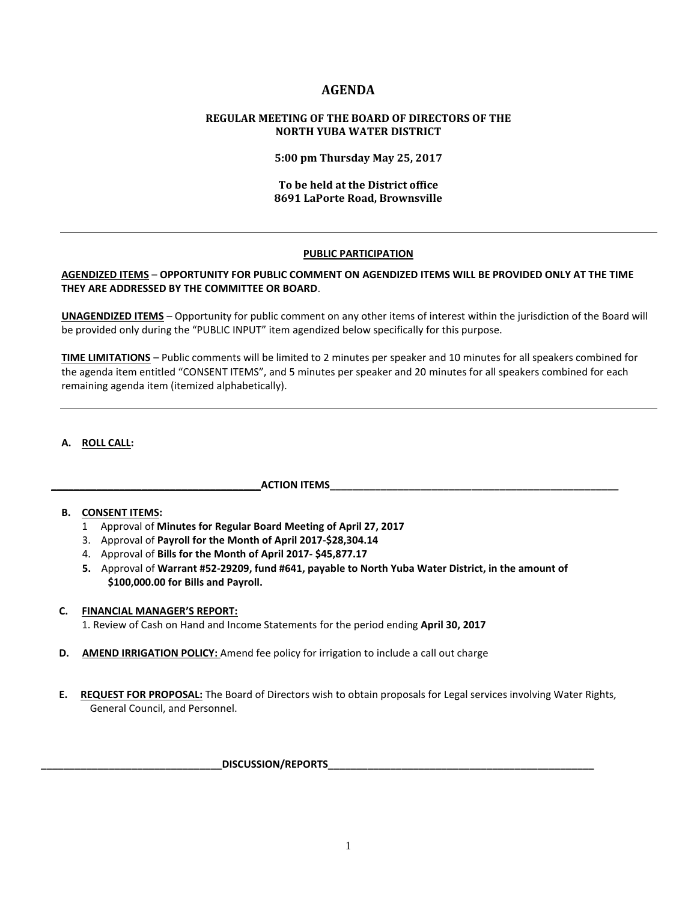## **AGENDA**

## **REGULAR MEETING OF THE BOARD OF DIRECTORS OF THE NORTH YUBA WATER DISTRICT**

**5:00 pm Thursday May 25, 2017**

## **To be held at the District office 8691 LaPorte Road, Brownsville**

## **PUBLIC PARTICIPATION**

## **AGENDIZED ITEMS** – **OPPORTUNITY FOR PUBLIC COMMENT ON AGENDIZED ITEMS WILL BE PROVIDED ONLY AT THE TIME THEY ARE ADDRESSED BY THE COMMITTEE OR BOARD**.

**UNAGENDIZED ITEMS** – Opportunity for public comment on any other items of interest within the jurisdiction of the Board will be provided only during the "PUBLIC INPUT" item agendized below specifically for this purpose.

**TIME LIMITATIONS** – Public comments will be limited to 2 minutes per speaker and 10 minutes for all speakers combined for the agenda item entitled "CONSENT ITEMS", and 5 minutes per speaker and 20 minutes for all speakers combined for each remaining agenda item (itemized alphabetically).

## **A. ROLL CALL:**

## **\_\_\_\_\_\_\_\_\_\_\_\_\_\_\_\_\_\_\_\_\_\_\_\_\_\_\_\_\_\_\_\_\_\_\_\_\_ACTION ITEMS\_\_\_\_\_\_\_\_\_\_\_\_\_\_\_\_\_\_\_\_\_\_\_\_\_\_\_\_\_\_\_\_\_\_\_\_\_\_\_\_\_\_\_\_\_\_\_\_\_\_\_**

## **B. CONSENT ITEMS:**

- 1 Approval of **Minutes for Regular Board Meeting of April 27, 2017**
- 3. Approval of **Payroll for the Month of April 2017-\$28,304.14**
- 4. Approval of **Bills for the Month of April 2017- \$45,877.17**
- **5.** Approval of **Warrant #52-29209, fund #641, payable to North Yuba Water District, in the amount of \$100,000.00 for Bills and Payroll.**

# **C. FINANCIAL MANAGER'S REPORT:**

1. Review of Cash on Hand and Income Statements for the period ending **April 30, 2017**

- **D. AMEND IRRIGATION POLICY:** Amend fee policy for irrigation to include a call out charge
- **E. REQUEST FOR PROPOSAL:** The Board of Directors wish to obtain proposals for Legal services involving Water Rights, General Council, and Personnel.

## **\_\_\_\_\_\_\_\_\_\_\_\_\_\_\_\_\_\_\_\_\_\_\_\_\_\_\_\_\_\_\_\_DISCUSSION/REPORTS\_\_\_\_\_\_\_\_\_\_\_\_\_\_\_\_\_\_\_\_\_\_\_\_\_\_\_\_\_\_\_\_\_\_\_\_\_\_\_\_\_\_\_\_\_\_\_**